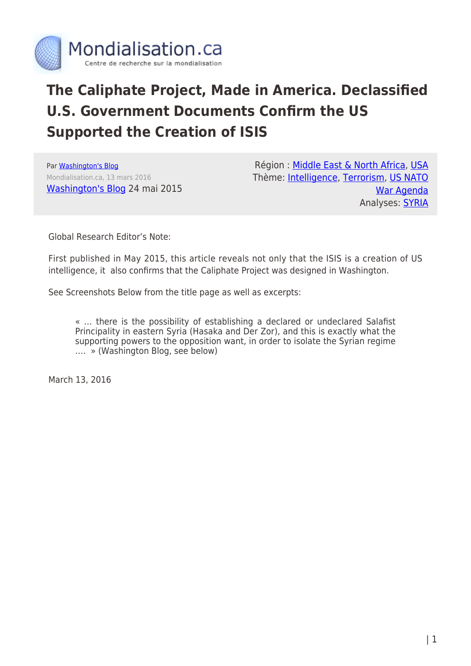

## **The Caliphate Project, Made in America. Declassified U.S. Government Documents Confirm the US Supported the Creation of ISIS**

Par [Washington's Blog](https://www.mondialisation.ca/author/washington-s-blog) Mondialisation.ca, 13 mars 2016 [Washington's Blog](http://www.washingtonsblog.com/2015/05/newly-declassified-u-s-government-documents-the-west-supported-the-creation-of-isis.html) 24 mai 2015

Région : [Middle East & North Africa,](https://www.mondialisation.ca/region/middle-east) [USA](https://www.mondialisation.ca/region/usa) Thème: [Intelligence,](https://www.mondialisation.ca/theme/intelligence) [Terrorism,](https://www.mondialisation.ca/theme/9-11-war-on-terrorism) [US NATO](https://www.mondialisation.ca/theme/us-nato-war-agenda) [War Agenda](https://www.mondialisation.ca/theme/us-nato-war-agenda) Analyses: [SYRIA](https://www.mondialisation.ca/indepthreport/syria-nato-s-next-war)

Global Research Editor's Note:

First published in May 2015, this article reveals not only that the ISIS is a creation of US intelligence, it also confirms that the Caliphate Project was designed in Washington.

See Screenshots Below from the title page as well as excerpts:

« … there is the possibility of establishing a declared or undeclared Salafist Principality in eastern Syria (Hasaka and Der Zor), and this is exactly what the supporting powers to the opposition want, in order to isolate the Syrian regime …. » (Washington Blog, see below)

March 13, 2016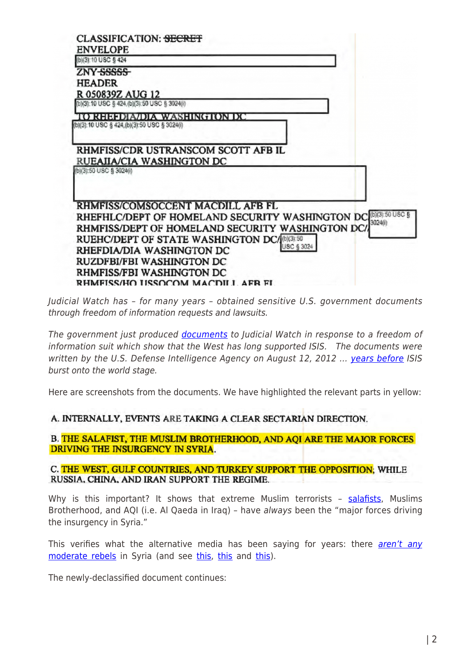| <b>CLASSIFICATION: <del>SECRET</del></b><br><b>ENVELOPE</b>      |                              |            |         |
|------------------------------------------------------------------|------------------------------|------------|---------|
| (b)(3):10 USC § 424                                              |                              |            |         |
| ZNY <del>SSSSS</del>                                             |                              |            |         |
| <b>HEADER</b>                                                    |                              |            |         |
| R 050839Z AUG 12                                                 |                              |            |         |
| (b)(3):10 USC § 424, (b)(3):50 USC § 3024(i)                     |                              |            |         |
| (b)(3):10 USC § 424,(b)(3):50 USC § 3024(i)                      | TO RHEFDIA/DIA WASHINGTON DC |            |         |
| RHMFISS/CDR USTRANSCOM SCOTT AFB IL<br>RUEAIIA/CIA WASHINGTON DC |                              |            |         |
| (b)(3):50 USC § 3024(i)                                          |                              |            |         |
| RHMFISS/COMSOCCENT MACDILL AFB FL                                |                              |            |         |
| RHEFHLC/DEPT OF HOMELAND SECURITY WASHINGTON DC (D)(3):50 USC    |                              |            | 3024(i) |
| RHMFISS/DEPT OF HOMELAND SECURITY WASHINGTON DC/                 |                              |            |         |
| RUEHC/DEPT OF STATE WASHINGTON DC/(b)(3):50                      |                              | USC § 3024 |         |
| RHEFDIA/DIA WASHINGTON DC                                        |                              |            |         |
| RUZDFBI/FBI WASHINGTON DC                                        |                              |            |         |
| RHMFISS/FBI WASHINGTON DC                                        |                              |            |         |
| RHMFISS/HO LISSOCOM MACDILL AFR FL                               |                              |            |         |

Judicial Watch has – for many years – obtained sensitive U.S. government documents through freedom of information requests and lawsuits.

The government just produced [documents](http://www.judicialwatch.org/wp-content/uploads/2015/05/Pg.-291-Pgs.-287-293-JW-v-DOD-and-State-14-812-DOD-Release-2015-04-10-final-version11.pdf) to Judicial Watch in response to a freedom of information suit which show that the West has long supported ISIS. The documents were written by the U.S. Defense Intelligence Agency on August 12, 2012 ... [years before](http://www.cnn.com/2014/08/08/world/isis-fast-facts/) ISIS burst onto the world stage.

Here are screenshots from the documents. We have highlighted the relevant parts in yellow:

## A. INTERNALLY, EVENTS ARE TAKING A CLEAR SECTARIAN DIRECTION.

B. THE SALAFIST, THE MUSLIM BROTHERHOOD, AND AQI ARE THE MAJOR FORCES DRIVING THE INSURGENCY IN SYRIA.

C. THE WEST, GULF COUNTRIES, AND TURKEY SUPPORT THE OPPOSITION, WHILE RUSSIA, CHINA, AND IRAN SUPPORT THE REGIME.

Why is this important? It shows that extreme Muslim terrorists - [salafists,](http://www.washingtonsblog.com/2014/08/closest-u-s-allies-middle-east-hotbeds-islamic-fundamentalism.html) Muslims Brotherhood, and AQI (i.e. Al Qaeda in Iraq) – have always been the "major forces driving the insurgency in Syria."

This verifies what the alternative media has been saying for years: there *[aren't any](http://www.washingtonsblog.com/2014/09/war-3.html)* [moderate rebels](http://www.washingtonsblog.com/2014/09/war-3.html) in Syria (and see [this,](https://www.google.com/search?q=no+moderate+rebels+syria&ie=utf-8&oe=utf-8&aq=t&rls=org.mozilla:en-US:official&client=firefox-a&channel=sb) [this](http://www.washingtonpost.com/blogs/worldviews/wp/2014/10/06/behind-bidens-gaffe-some-legitimate-concerns-about-americas-middle-east-allies/) and [this\)](http://news.firedoglake.com/2014/08/11/obama-admits-arming-moderate-syrian-rebels-has-always-been-a-fantasy/).

The newly-declassified document continues: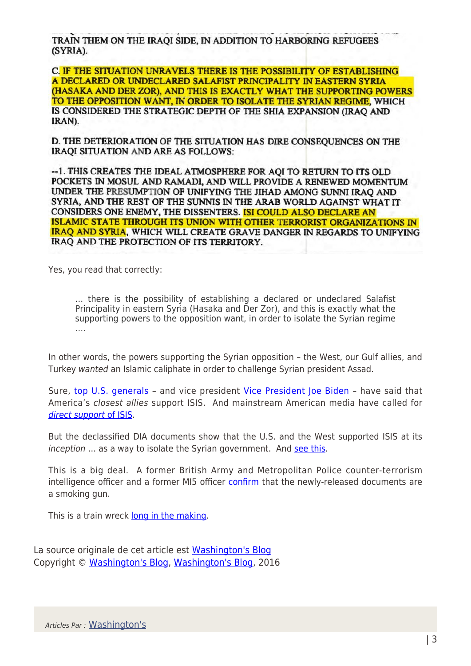TRAIN THEM ON THE IRAOI SIDE. IN ADDITION TO HARBORING REFUGEES (SYRIA).

C. IF THE SITUATION UNRAVELS THERE IS THE POSSIBILITY OF ESTABLISHING A DECLARED OR UNDECLARED SALAFIST PRINCIPALITY IN EASTERN SYRIA (HASAKA AND DER ZOR), AND THIS IS EXACTLY WHAT THE SUPPORTING POWERS TO THE OPPOSITION WANT, IN ORDER TO ISOLATE THE SYRIAN REGIME, WHICH IS CONSIDERED THE STRATEGIC DEPTH OF THE SHIA EXPANSION (IRAQ AND IRAN).

D. THE DETERIORATION OF THE SITUATION HAS DIRE CONSEQUENCES ON THE IRAQI SITUATION AND ARE AS FOLLOWS:

-- 1. THIS CREATES THE IDEAL ATMOSPHERE FOR AQI TO RETURN TO ITS OLD POCKETS IN MOSUL AND RAMADI, AND WILL PROVIDE A RENEWED MOMENTUM UNDER THE PRESUMPTION OF UNIFYING THE JIHAD AMONG SUNNI IRAO AND SYRIA, AND THE REST OF THE SUNNIS IN THE ARAB WORLD AGAINST WHAT IT CONSIDERS ONE ENEMY, THE DISSENTERS. ISI COULD ALSO DECLARE AN ISLAMIC STATE THROUGH ITS UNION WITH OTHER TERRORIST ORGANIZATIONS IN IRAQ AND SYRIA, WHICH WILL CREATE GRAVE DANGER IN REGARDS TO UNIFYING IRAQ AND THE PROTECTION OF ITS TERRITORY.

Yes, you read that correctly:

… there is the possibility of establishing a declared or undeclared Salafist Principality in eastern Syria (Hasaka and Der Zor), and this is exactly what the supporting powers to the opposition want, in order to isolate the Syrian regime ….

In other words, the powers supporting the Syrian opposition – the West, our Gulf allies, and Turkey wanted an Islamic caliphate in order to challenge Syrian president Assad.

Sure, [top U.S. generals](http://www.washingtonsblog.com/2015/02/top-u-s-generals-american-allies-support-isis.html) - and vice president [Vice President Joe Biden](https://www.youtube.com/watch?v=w04YE5zRmc8#t=67) - have said that America's closest allies support ISIS. And mainstream American media have called for [direct support](http://www.washingtonsblog.com/2015/03/mainstream-media-calls-supporting-al-qaeda-isis.) [of ISIS.](http://www.washingtonsblog.com/2015/03/mainstream-media-calls-supporting-al-qaeda-isis.)

But the declassified DIA documents show that the U.S. and the West supported ISIS at its inception ... as a way to isolate the Syrian government. And [see this.](http://www.washingtonsblog.com/2015/05/dia-docs-west-wants-a-salafist-principality-in-eastern-syria.html)

This is a big deal. A former British Army and Metropolitan Police counter-terrorism intelligence officer and a former MI5 officer [confirm](https://medium.com/insurge-intelligence/secret-pentagon-report-reveals-west-saw-isis-as-strategic-asset-b99ad7a29092) that the newly-released documents are a smoking gun.

This is a train wreck [long in the making.](http://www.washingtonsblog.com/2012/07/false-flags-in-syria.html)

La source originale de cet article est [Washington's Blog](http://www.washingtonsblog.com/2015/05/newly-declassified-u-s-government-documents-the-west-supported-the-creation-of-isis.html) Copyright © [Washington's Blog,](https://www.mondialisation.ca/author/washington-s-blog) [Washington's Blog,](http://www.washingtonsblog.com/2015/05/newly-declassified-u-s-government-documents-the-west-supported-the-creation-of-isis.html) 2016